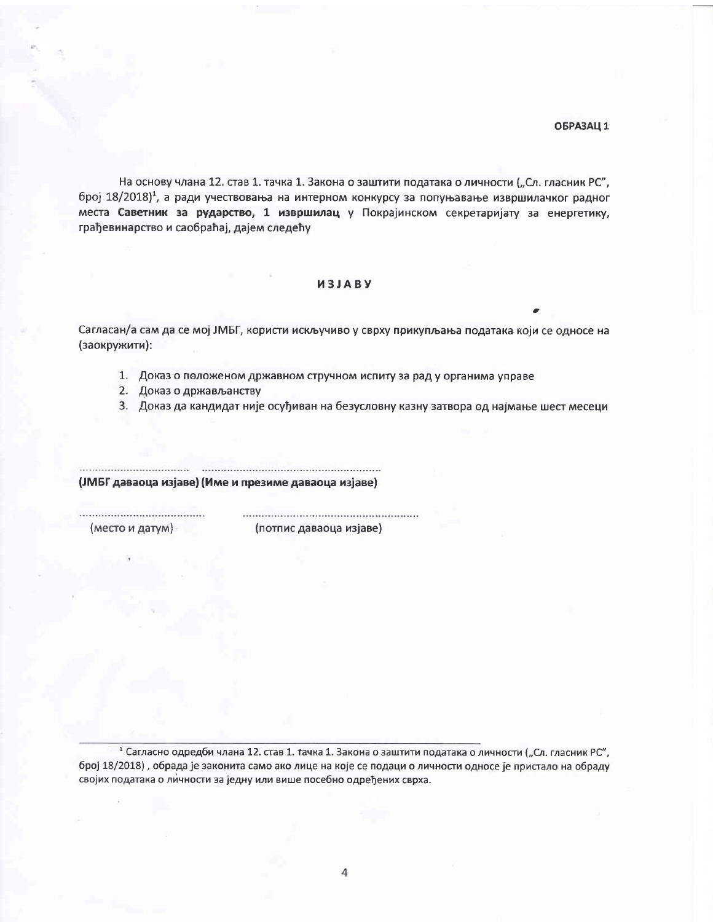## ОБРАЗАЦ 1

На основу члана 12. став 1. тачка 1. Закона о заштити података о личности ("Сл. гласник РС", број 18/2018)<sup>1</sup>, а ради учествовања на интерном конкурсу за попуњавање извршилачког радног места Саветник за рударство, 1 извршилац у Покрајинском секретаријату за енергетику, грађевинарство и саобраћај, дајем следећу

## *M3JABY*

Сагласан/а сам да се мој ЈМБГ, користи искључиво у сврху прикупљања података који се односе на (заокружити):

- 1. Доказ о положеном државном стручном испиту за рад у органима управе
- 2. Доказ о држављанству
- 3. Доказ да кандидат није осуђиван на безусловну казну затвора од најмање шест месеци

(ЈМБГ даваоца изјаве) (Име и презиме даваоца изјаве)

(место и датум)

(потпис даваоца изјаве)

<sup>1</sup> Сагласно одредби члана 12. став 1. тачка 1. Закона о заштити података о личности ("Сл. гласник РС", број 18/2018), обрада је законита само ако лице на које се подаци о личности односе је пристало на обраду својих података о личности за једну или више посебно одређених сврха.